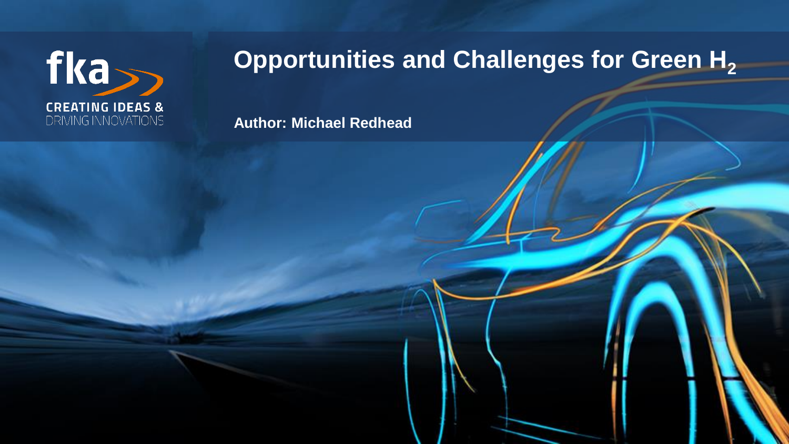

## **Opportunities and Challenges for Green H<sup>2</sup>**

22mrh019.pptx © fka GmbH

**Author: Michael Redhead**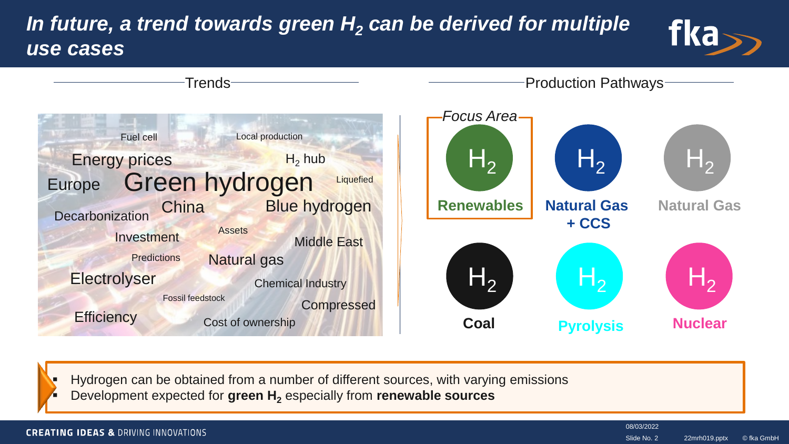### *In future, a trend towards green H<sup>2</sup> can be derived for multiple use cases*





 Hydrogen can be obtained from a number of different sources, with varying emissions Development expected for **green H<sup>2</sup>** especially from **renewable sources**

#### **CREATING IDEAS & DRIVING INNOVATIONS**

08/03/2022 Slide No. 2

22mrh019.pptx © fka GmbH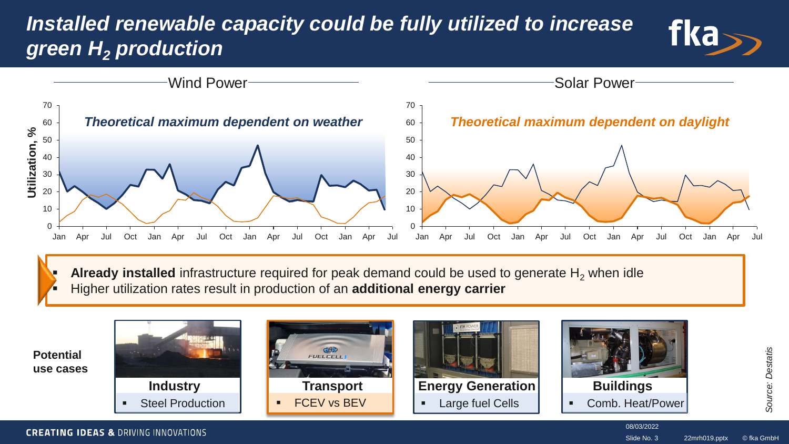### *Installed renewable capacity could be fully utilized to increase green H<sup>2</sup> production*





Already installed infrastructure required for peak demand could be used to generate H<sub>2</sub> when idle Higher utilization rates result in production of an **additional energy carrier**



**CREATING IDEAS & DRIVING INNOVATIONS** 

22mrh019.pptx © fka GmbH Slide No. 3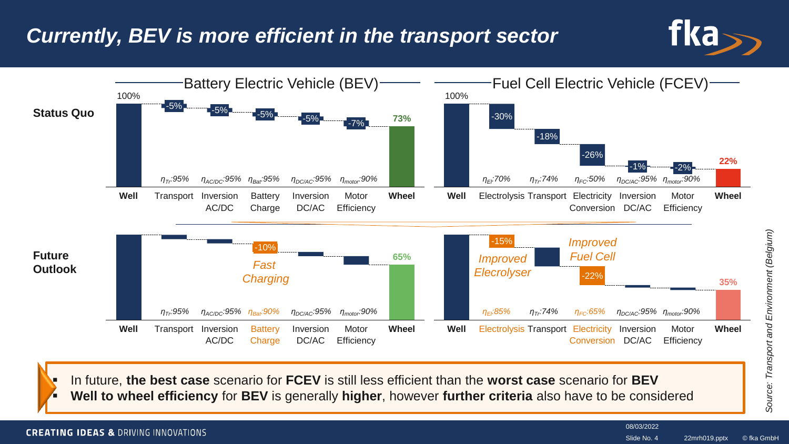### *Currently, BEV is more efficient in the transport sector*





 In future, **the best case** scenario for **FCEV** is still less efficient than the **worst case** scenario for **BEV Well to wheel efficiency** for **BEV** is generally **higher**, however **further criteria** also have to be considered

#### **CREATING IDEAS & DRIVING INNOVATIONS**

08/03/2022

22mrh019.pptx © fka GmbH Slide No. 4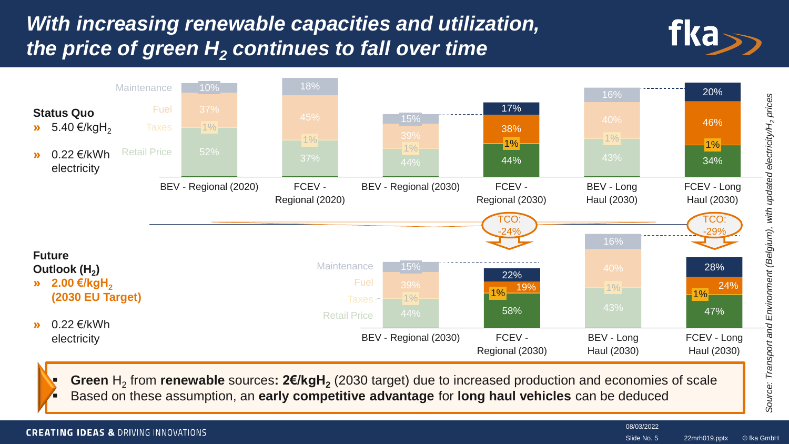### *With increasing renewable capacities and utilization, the price of green H<sup>2</sup> continues to fall over time*





**CREATING IDEAS & DRIVING INNOVATIONS** 

08/03/2022

22mrh019.pptx © fka GmbH Slide No. 5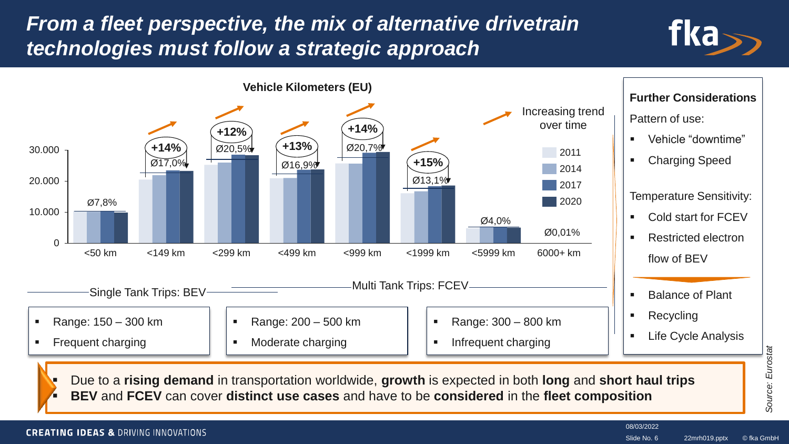### *From a fleet perspective, the mix of alternative drivetrain technologies must follow a strategic approach*





 Due to a **rising demand** in transportation worldwide, **growth** is expected in both **long** and **short haul trips BEV** and **FCEV** can cover **distinct use cases** and have to be **considered** in the **fleet composition**

**CREATING IDEAS & DRIVING INNOVATIONS** 

08/03/2022 Slide No. 6

22mrh019.pptx © fka GmbH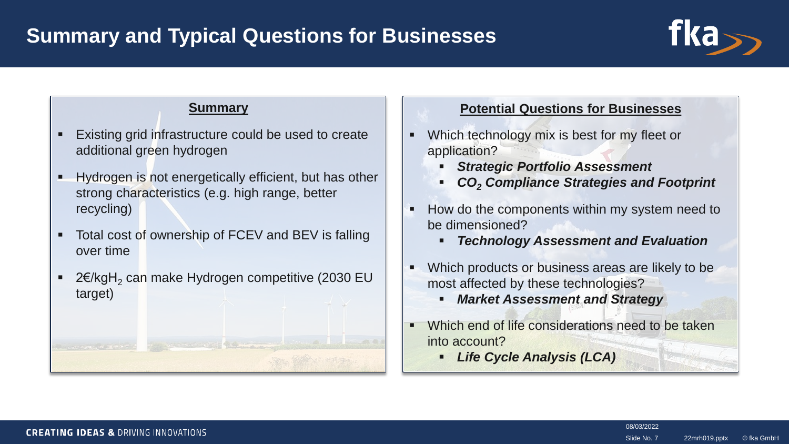

### **Summary**

- **Existing grid infrastructure could be used to create** additional green hydrogen
- Hydrogen is not energetically efficient, but has other strong characteristics (e.g. high range, better recycling)
- **Total cost of ownership of FCEV and BEV is falling** over time
- 2€/kgH<sub>2</sub> can make Hydrogen competitive (2030 EU target)

William H. H. Hans

#### **Potential Questions for Businesses**

- Which technology mix is best for my fleet or application?
	- *Strategic Portfolio Assessment*
	- *CO<sup>2</sup> Compliance Strategies and Footprint*
- How do the components within my system need to be dimensioned?
	- *Technology Assessment and Evaluation*
- Which products or business areas are likely to be. most affected by these technologies?
	- *Market Assessment and Strategy*
- Which end of life considerations need to be taken into account?
	- *Life Cycle Analysis (LCA)*